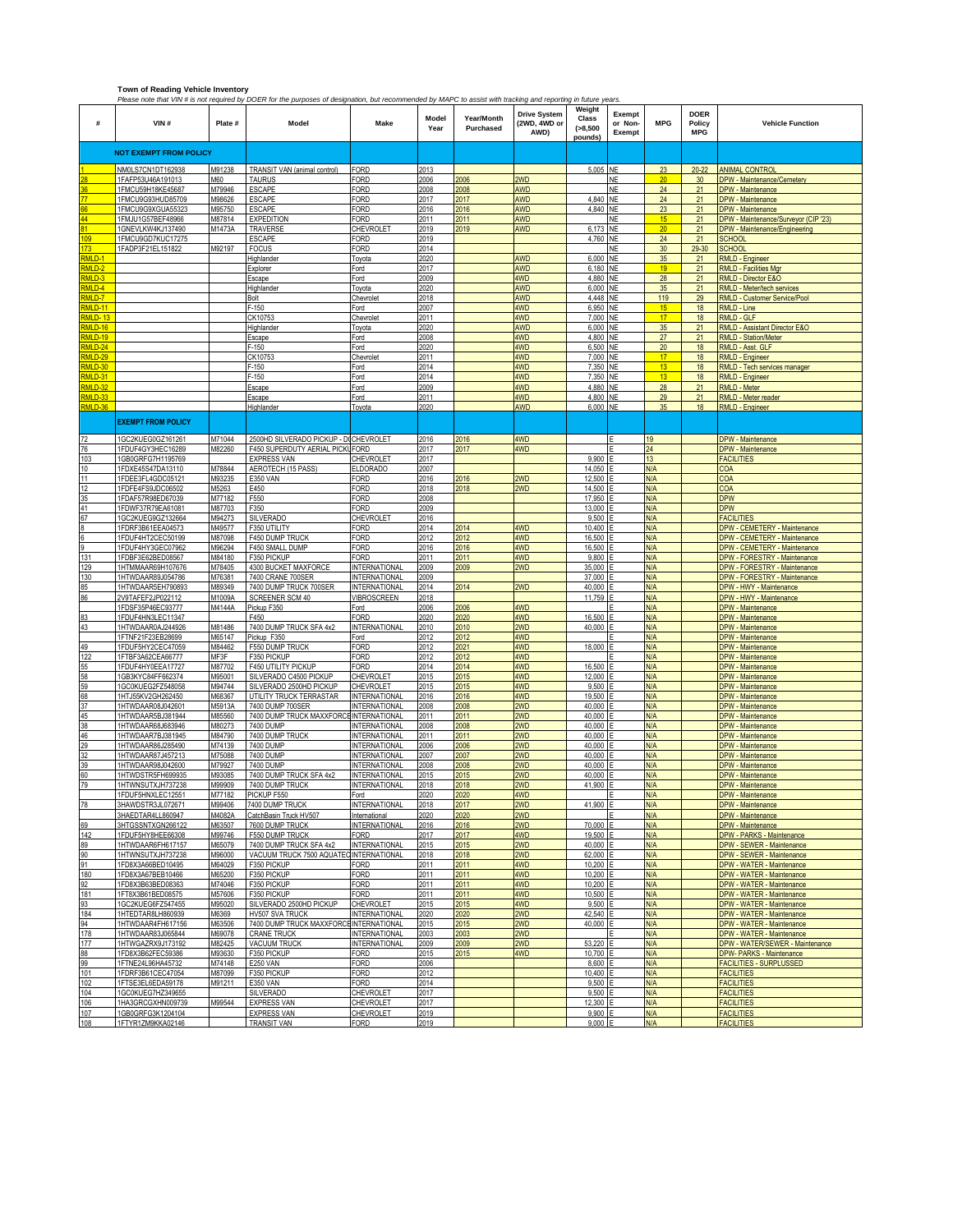|                                                | <b>Town of Reading Vehicle Inventory</b><br>Please note that VIN # is not required by DOER for the purposes of designation, but recommended by MAPC to assist with tracking and reporting in future years |                  |                                               |                                              |               |                         |                                             |                                           |                             |                 |                                     |                                                         |
|------------------------------------------------|-----------------------------------------------------------------------------------------------------------------------------------------------------------------------------------------------------------|------------------|-----------------------------------------------|----------------------------------------------|---------------|-------------------------|---------------------------------------------|-------------------------------------------|-----------------------------|-----------------|-------------------------------------|---------------------------------------------------------|
| #                                              | VIN#                                                                                                                                                                                                      | Plate #          | Model                                         | Make                                         | Model<br>Year | Year/Month<br>Purchased | <b>Drive System</b><br>(2WD, 4WD or<br>AWD) | Weiaht<br>Class<br>$(-8, 500)$<br>pounds) | Exempt<br>or Non-<br>Exempt | <b>MPG</b>      | <b>DOER</b><br>Policy<br><b>MPG</b> | <b>Vehicle Function</b>                                 |
|                                                | <b>NOT EXEMPT FROM POLICY</b>                                                                                                                                                                             |                  |                                               |                                              |               |                         |                                             |                                           |                             |                 |                                     |                                                         |
|                                                |                                                                                                                                                                                                           | M91238           |                                               |                                              | 2013          |                         |                                             |                                           |                             | 23              | $20 - 22$                           |                                                         |
|                                                | NM0LS7CN1DT162938<br>1FAFP53U46A191013                                                                                                                                                                    | M60              | TRANSIT VAN (animal control)<br><b>TAURUS</b> | <b>FORD</b><br>FORD                          | 2006          | 2006                    | 2WD                                         | 5,005                                     | <b>NE</b><br><b>NE</b>      | 20              | 30                                  | <b>ANIMAL CONTRO</b><br>DPW - Maintenance/Cemetery      |
|                                                | 1FMCU59H18KE45687                                                                                                                                                                                         | M79946           | <b>ESCAPE</b>                                 | FORD                                         | 2008          | 2008                    | AWD                                         |                                           | <b>NE</b>                   | 24              | 21                                  | DPW - Maintenance                                       |
|                                                | 1FMCU9G93HUD85709                                                                                                                                                                                         | M98626           | <b>ESCAPE</b>                                 | FORD                                         | 2017          | 2017                    | <b>AWD</b>                                  | 4,840                                     | <b>NE</b>                   | 24              | 21                                  | DPW - Maintenance                                       |
|                                                | 1FMCU9G9XGUA55323                                                                                                                                                                                         | M95750           | <b>ESCAPE</b>                                 | FORD                                         | 2016          | 2016                    | <b>AWD</b>                                  | 4,840                                     | <b>NE</b>                   | 23              | 21                                  | DPW - Maintenance                                       |
|                                                | 1FMJU1G57BEF48966                                                                                                                                                                                         | M87814           | <b>EXPEDITION</b>                             | FORD                                         | 2011          | 2011                    | AWD                                         |                                           | <b>NE</b>                   | 15              | 21                                  | DPW - Maintenance/Surveyor (CIP '23)                    |
|                                                | 1GNEVLKW4KJ137490                                                                                                                                                                                         | M1473A           | TRAVERSE                                      | CHEVROLET                                    | 2019          | 2019                    | <b>AWD</b>                                  | 6,173 NE                                  |                             | 20 <sub>2</sub> | 21                                  | DPW - Maintenance/Engineering                           |
| nq                                             | 1FMCU9GD7KUC17275                                                                                                                                                                                         |                  | <b>ESCAPE</b>                                 | FORD                                         | 2019          |                         |                                             | 4,760                                     | <b>NE</b>                   | 24              | 21                                  | <b>SCHOOL</b>                                           |
| 73 <sup>°</sup><br>MLD-1                       | 1FADP3F21EL151822                                                                                                                                                                                         | M92197           | <b>FOCUS</b>                                  | FORD                                         | 2014          |                         |                                             |                                           | NE                          | 30              | 29-30                               | <b>SCHOOL</b>                                           |
| RMLD-2                                         |                                                                                                                                                                                                           |                  | Highlander<br>Explorer                        | Toyota<br>Ford                               | 2020<br>2017  |                         | AWD<br><b>AWD</b>                           | 6,000<br>6,180 NE                         | <b>NE</b>                   | 35<br>19        | 21<br>21                            | <b>RMLD - Engineer</b><br><b>RMLD - Facilities Mgr</b>  |
| MLD-3                                          |                                                                                                                                                                                                           |                  | Escape                                        | ord                                          | 2009          |                         | 4WD                                         | 4,880                                     | <b>NE</b>                   | 28              | 21                                  | RMLD - Director E&O                                     |
| MLD-4                                          |                                                                                                                                                                                                           |                  | Highlander                                    | Toyota                                       | 2020          |                         | AWD                                         | 6,000 NE                                  |                             | 35              | 21                                  | <b>RMLD - Meter/tech services</b>                       |
| MLD-7                                          |                                                                                                                                                                                                           |                  | Bolt                                          | Chevrolet                                    | 2018          |                         | AWD                                         | 4.448 NE                                  |                             | 119             | 29                                  | RMLD - Customer Service/Pool                            |
| <b>MLD-11</b>                                  |                                                                                                                                                                                                           |                  | F-150                                         | Ford                                         | 2007          |                         | 4WD                                         | 6.950 NE                                  |                             | 15              | 18                                  | RMLD - Line                                             |
| MLD-13                                         |                                                                                                                                                                                                           |                  | CK10753                                       | Chevrolet                                    | 2011          |                         | 4WD                                         | 7,000                                     | <b>NE</b>                   | 17              | 18                                  | <b>RMLD - GLF</b>                                       |
| MLD-16                                         |                                                                                                                                                                                                           |                  | Highlander                                    | Гоуоtа                                       | 2020          |                         | AWD                                         | 6,000                                     | <b>NE</b>                   | 35              | 21                                  | RMLD - Assistant Director E&O                           |
| MLD-19<br>MLD-24                               |                                                                                                                                                                                                           |                  | Escape<br>$F-150$                             | Ford<br>Ford                                 | 2008<br>2020  |                         | 4WD<br>4WD                                  | 4,800<br>6,500                            | <b>NE</b><br><b>NE</b>      | 27<br>20        | 21<br>18                            | <b>RMLD - Station/Meter</b><br>RMLD - Asst. GLF         |
| MLD-29                                         |                                                                                                                                                                                                           |                  | CK10753                                       | Chevrolet                                    | 2011          |                         | 4WD                                         | 7,000                                     | <b>NE</b>                   | 17              | 18                                  | <b>RMLD - Engineer</b>                                  |
| MLD-30                                         |                                                                                                                                                                                                           |                  | $F-150$                                       | ord                                          | 2014          |                         | 4WD                                         | 7,350                                     | NE                          | 13              | 18                                  | RMLD - Tech services manager                            |
| MLD-31                                         |                                                                                                                                                                                                           |                  | $F-150$                                       | Ford                                         | 2014          |                         | 4WD                                         | 7,350                                     | <b>NE</b>                   | 13              | 18                                  | RMLD - Engineer                                         |
| MLD-32                                         |                                                                                                                                                                                                           |                  | Escape                                        | Ford                                         | 2009          |                         | 4WD                                         | 4,880                                     | <b>NE</b>                   | 28              | 21                                  | <b>RMLD - Meter</b>                                     |
| MLD-33                                         |                                                                                                                                                                                                           |                  | Escape                                        | Ford                                         | 2011          |                         | 4WD                                         | 4,800                                     | <b>NE</b>                   | 29              | 21                                  | <b>RMLD - Meter reader</b>                              |
| <b>MID-36</b>                                  |                                                                                                                                                                                                           |                  | Highlander                                    | Toyota                                       | 2020          |                         | AWD                                         | 6,000 NE                                  |                             | 35              | 18                                  | RMLD - Engineer                                         |
|                                                | <b>EXEMPT FROM POLICY</b>                                                                                                                                                                                 |                  |                                               |                                              |               |                         |                                             |                                           |                             |                 |                                     |                                                         |
| 72                                             | 1GC2KUEG0GZ161261                                                                                                                                                                                         | M71044           | 2500HD SILVERADO PICKUP - DICHEVROLET         |                                              | 2016          | 2016                    | 4WD                                         |                                           |                             | 19              |                                     | <b>DPW</b> - Maintenance                                |
| 76                                             | 1FDUF4GY3HEC16289                                                                                                                                                                                         | M82260           | F450 SUPERDUTY AERIAL PICKL                   | FORD                                         | 2017          | 2017                    | 4WD                                         |                                           |                             | 24              |                                     | DPW - Maintenance                                       |
| 103                                            | 1GB0GRFG7H1195769                                                                                                                                                                                         |                  | <b>EXPRESS VAN</b>                            | CHEVROLET                                    | 2017          |                         |                                             | 9.900                                     |                             | 13              |                                     | <b>FACILITIES</b>                                       |
| 10                                             | 1FDXE45S47DA13110                                                                                                                                                                                         | M78844           | AEROTECH (15 PASS)                            | <b>ELDORADO</b>                              | 2007          |                         |                                             | 14,050                                    |                             | N/A             |                                     | COA                                                     |
| 11                                             | 1FDEE3FL4GDC05121                                                                                                                                                                                         | M93235           | <b>E350 VAN</b>                               | FORD                                         | 2016          | 2016                    | 2WD                                         | 12,500                                    |                             | N/A             |                                     | COA                                                     |
|                                                | 1FDFE4FS9JDC06502                                                                                                                                                                                         | M5263            | E450                                          | FORD                                         | 2018          | 2018                    | 2WD                                         | 14,500                                    |                             | <b>N/A</b>      |                                     | COA                                                     |
| $\frac{12}{35}$                                | 1FDAF57R98ED67039<br>1FDWF37R79EA61081                                                                                                                                                                    | M77182<br>M87703 | F550<br>F350                                  | FORD<br>FORD                                 | 2008<br>2009  |                         |                                             | 17,950<br>13,000                          |                             | N/A<br>N/A      |                                     | <b>DPW</b><br><b>DPW</b>                                |
| 67                                             | 1GC2KUEG9GZ132664                                                                                                                                                                                         | M94273           | <b>SILVERADO</b>                              | CHEVROLET                                    | 2016          |                         |                                             | 9.500                                     |                             | N/A             |                                     | <b>FACILITIES</b>                                       |
|                                                | 1FDRF3B61EEA04573                                                                                                                                                                                         | M49577           | F350 UTILITY                                  | FORD                                         | 2014          | 2014                    | 4WD                                         | 10,400                                    |                             | N/A             |                                     | <b>DPW - CEMETERY - Maintenance</b>                     |
|                                                | 1FDUF4HT2CEC50199                                                                                                                                                                                         | M87098           | F450 DUMP TRUCK                               | FORD                                         | 2012          | 2012                    | 4WD                                         | 16,500                                    |                             | N/A             |                                     | <b>DPW - CEMETERY - Maintenance</b>                     |
|                                                | 1FDUF4HY3GEC07962                                                                                                                                                                                         | M96294           | F450 SMALL DUMP                               | FORD                                         | 2016          | 2016                    | 4WD                                         | 16,500                                    |                             | N/A             |                                     | DPW - CEMETERY - Maintenance                            |
| 131                                            | 1FDBF3E62BED08567                                                                                                                                                                                         | M84180           | F350 PICKUP                                   | FORD                                         | 2011          | 2011                    | 4WD                                         | 9,800                                     |                             | N/A             |                                     | DPW - FORESTRY - Maintenance                            |
| 129                                            | 1HTMMAAR69H107676                                                                                                                                                                                         | M78405           | 4300 BUCKET MAXFORCE                          | <b>INTERNATIONAL</b>                         | 2009          | 2009                    | 2WD                                         | 35,000                                    |                             | N/A             |                                     | DPW - FORESTRY - Maintenance                            |
| 130                                            | 1HTWDAAR89J054786<br>1HTWDAAR5EH790893                                                                                                                                                                    | M76381<br>M89349 | 7400 CRANE 700SER<br>7400 DUMP TRUCK 700SER   | <b>INTERNATIONAL</b><br><b>INTERNATIONAL</b> | 2009<br>2014  | 2014                    | 2WD                                         | 37,000<br>40,000                          |                             | N/A<br>N/A      |                                     | DPW - FORESTRY - Maintenance<br>DPW - HWY - Maintenance |
| 85<br>86                                       | 2V9TAFEF2JP022112                                                                                                                                                                                         | M1009A           | SCREENER SCM 40                               | <b>VIBROSCREEN</b>                           | 2018          |                         |                                             | 11,759                                    |                             | N/A             |                                     | DPW - HWY - Maintenance                                 |
|                                                | 1FDSF35P46EC93777                                                                                                                                                                                         | M4144A           | Pickup F350                                   | Ford                                         | 2006          | 2006                    | 4WD                                         |                                           |                             | <b>N/A</b>      |                                     | <b>DPW</b> - Maintenance                                |
| 83                                             | 1FDUF4HN3LEC11347                                                                                                                                                                                         |                  | F450                                          | FORD                                         | 2020          | 2020                    | 4WD                                         | 16,500                                    |                             | N/A             |                                     | DPW - Maintenance                                       |
| 43                                             | 1HTWDAAR0AJ244926                                                                                                                                                                                         | M81486           | 7400 DUMP TRUCK SFA 4x2                       | <b>INTERNATIONAL</b>                         | 2010          | 2010                    | 2WD                                         | 40,000                                    |                             | N/A             |                                     | <b>DPW</b> - Maintenance                                |
|                                                | 1FTNF21F23EB28699                                                                                                                                                                                         | M65147           | Pickup F350                                   | Ford                                         | 2012          | 2012                    | 4WD                                         |                                           |                             | N/A             |                                     | <b>DPW - Maintenance</b>                                |
| 49                                             | 1FDUF5HY2CEC47059                                                                                                                                                                                         | M84462           | F550 DUMP TRUCK                               | <b>FORD</b>                                  | 2012          | 2021                    | 4WD                                         | 18,000                                    |                             | <b>N/A</b>      |                                     | DPW - Maintenance                                       |
| $\begin{array}{r} 122 \\ 55 \\ 58 \end{array}$ | 1FTBF3A62CEA66777                                                                                                                                                                                         | MF3F             | F350 PICKUP                                   | FORD                                         | 2012          | 2012                    | 4WD                                         |                                           |                             | N/A             |                                     | DPW - Maintenance                                       |
|                                                | 1FDUF4HY0EEA17727<br>1GB3KYC84FF662374                                                                                                                                                                    | M87702<br>M95001 | F450 UTILITY PICKUP<br>SILVERADO C4500 PICKUP | FORD<br>CHEVROLET                            | 2014<br>2015  | 2014<br>2015            | 4WD<br>4WD                                  | 16,500<br>12,000                          |                             | N/A<br>N/A      |                                     | DPW - Maintenance<br><b>DPW</b> - Maintenance           |
|                                                | 1GC0KUEG2FZ548058                                                                                                                                                                                         | M94744           | SILVERADO 2500HD PICKUP                       | CHEVROLET                                    | 2015          | 2015                    | 4WD                                         | 9,500                                     |                             | <b>N/A</b>      |                                     | <b>DPW</b> - Maintenance                                |
| 59<br>68<br>37                                 | 1HTJ55KV2GH262450                                                                                                                                                                                         | M68367           | UTILITY TRUCK TERRASTAR                       | NTERNATIONAL                                 | 2016          | 2016                    | 4WD                                         | 19,500                                    |                             | N/A             |                                     | <b>DPW</b> - Maintenance                                |
|                                                | 1HTWDAAR08J04260                                                                                                                                                                                          | M5913A           | 7400 DUMP 700SER                              | <b>INTERNATIONAL</b>                         | 2008          | 2008                    | 2WD                                         | 40,000                                    |                             | N/A             |                                     | <b>DPW</b> - Maintenance                                |
| 45                                             | 1HTWDAAR5BJ381944                                                                                                                                                                                         | M85560           | 7400 DUMP TRUCK MAXXFORC                      | <b>INTERNATIONAL</b>                         | 2011          | 2011                    | 2WD                                         | 40,000                                    |                             | N/A             |                                     | <b>DPW</b> - Maintenance                                |
| 38                                             | 1HTWDAAR68J683946                                                                                                                                                                                         | M80273           | 7400 DUMP                                     | <b>INTERNATIONAL</b>                         | 2008          | 2008                    | 2WD                                         | 40,000                                    |                             | N/A             |                                     | DPW - Maintenance                                       |
|                                                | <u>1HTWDAAR7BJ381945</u>                                                                                                                                                                                  | M84790           | 7400 DUMP TRUCK                               | <b>INTERNATIONAL</b>                         | 2011          | 2011                    | 2WD                                         | 40,000                                    |                             | <b>N/A</b>      |                                     | DPW - Maintenance                                       |
|                                                | 1HTWDAAR86J285490<br>1HTWDAAR87J457213                                                                                                                                                                    | M74139<br>M75088 | 7400 DUMP<br>7400 DUMP                        | <b>INTERNATIONAL</b><br><b>INTERNATIONAL</b> | 2006<br>2007  | 2006<br>2007            | 2WD<br>2WD                                  | 40,000<br>40,000                          |                             | N/A<br>N/A      |                                     | DPW - Maintenance<br><b>DPW - Maintenance</b>           |
| 39                                             | 1HTWDAAR98J042600                                                                                                                                                                                         | M79927           | 7400 DUMP                                     | <b>INTERNATIONAL</b>                         | 2008          | 2008                    | 2WD                                         | 40.000                                    |                             | <b>N/A</b>      |                                     | <b>DPW</b> - Maintenance                                |
|                                                | 1HTWDSTR5FH699935                                                                                                                                                                                         | M93085           | 7400 DUMP TRUCK SFA 4x2                       | <b>INTERNATIONAL</b>                         | 2015          | 2015                    | 2WD                                         | 40,000                                    |                             | N/A             |                                     | DPW - Maintenance                                       |
|                                                | <b>I LITMAICLITY ILIZ37238</b>                                                                                                                                                                            | 400000           | <b>7400 DLIMP TRUCK</b>                       | <b>INTEDNATIONAL</b>                         |               | 2015                    |                                             | 11 QN                                     |                             |                 |                                     | DIM Mainte                                              |
|                                                | 1FDUF5HNXLEC12551                                                                                                                                                                                         | M77182           | PICKUP F550                                   | Ford                                         | 2020          | 2020                    | 4WD                                         |                                           |                             | N/A             |                                     | <b>DPW - Maintenance</b>                                |
| 78                                             | 3HAWDSTR3JL072671                                                                                                                                                                                         | M99406           | 7400 DUMP TRUCK                               | <b>INTERNATIONAL</b>                         | 2018          | 2017                    | 2WD                                         | 41,900                                    |                             | N/A             |                                     | <b>DPW - Maintenance</b>                                |
| 69                                             | BHAEDTAR4LL860947<br>3HTGSSNTXGN266122                                                                                                                                                                    | M4082A<br>M63507 | CatchBasin Truck HV507<br>7600 DUMP TRUCK     | International<br><b>INTERNATIONAL</b>        | 2020          | 2020                    | 2WD<br>2WD                                  | 70,000                                    |                             | N/A<br>N/A      |                                     | <b>DPW</b> - Maintenance                                |
|                                                | 1FDUF5HY8HEE66308                                                                                                                                                                                         | M99746           | F550 DUMP TRUCK                               | FORD                                         | 2016<br>2017  | 2016<br>2017            | 4WD                                         | 19,500                                    |                             | N/A             |                                     | DPW - Maintenance<br>DPW - PARKS - Maintenance          |
| 142<br>89                                      | 1HTWDAAR6FH617157                                                                                                                                                                                         | M65079           | 7400 DUMP TRUCK SFA 4x2                       | <b>INTERNATIONAL</b>                         | 2015          | 2015                    | 2WD                                         | 40,000                                    |                             | N/A             |                                     | DPW - SEWER - Maintenance                               |
|                                                | 1HTWNSUTXJH737238                                                                                                                                                                                         | M96000           | VACUUM TRUCK 7500 AQUATEC INTERNATIONAL       |                                              | 2018          | 2018                    | 2WD                                         | 62,000                                    |                             | N/A             |                                     | DPW - SEWER - Maintenance                               |
| 90<br>91                                       | 1FD8X3A66BED10495                                                                                                                                                                                         | M64029           | F350 PICKUP                                   | FORD                                         | 2011          | 2011                    | 4WD                                         | 10,200                                    |                             | N/A             |                                     | DPW - WATER - Maintenance                               |
|                                                | 1FD8X3A67BEB10466                                                                                                                                                                                         | M65200           | F350 PICKUP                                   | FORD                                         | 2011          | 2011                    | 4WD                                         | 10,200                                    |                             | N/A             |                                     | DPW - WATER - Maintenance                               |
| 180<br>92<br>181<br>93<br>184<br>184           | 1FD8X3B63BED08363                                                                                                                                                                                         | M74046           | F350 PICKUP                                   | FORD                                         | 2011          | 2011                    | 4WD                                         | 10,200                                    |                             | N/A             |                                     | DPW - WATER - Maintenance                               |
|                                                | 1FT8X3B61BED08575                                                                                                                                                                                         | M57606           | F350 PICKUP                                   | FORD                                         | 2011          | 2011                    | 4WD                                         | 10,500                                    |                             | N/A             |                                     | DPW - WATER - Maintenance                               |
|                                                | 1GC2KUEG6FZ547455                                                                                                                                                                                         | M95020           | SILVERADO 2500HD PICKUP                       | CHEVROLET<br><b>INTERNATIONAL</b>            | 2015          | 2015                    | 4WD                                         | 9,500                                     |                             | N/A             |                                     | DPW - WATER - Maintenance                               |
|                                                | 1HTEDTAR8LH860939<br>1HTWDAAR4FH617156                                                                                                                                                                    | M6369<br>M63506  | HV507 SVA TRUCK<br>7400 DUMP TRUCK MAXXFORO   | <b>EINTERNATIONAL</b>                        | 2020<br>2015  | 2020<br>2015            | 2WD<br>2WD                                  | 42,540<br>40,000                          |                             | N/A<br>N/A      |                                     | DPW - WATER - Maintenance<br>DPW - WATER - Maintenance  |
|                                                | 1HTWDAAR83J065844                                                                                                                                                                                         | M69078           | <b>CRANE TRUCK</b>                            | <b>INTERNATIONAL</b>                         | 2003          | 2003                    | 2WD                                         |                                           |                             | N/A             |                                     | DPW - WATER - Maintenance                               |
| 178<br>177<br>88<br>99<br>101                  | IHTWGAZRX9J173192                                                                                                                                                                                         | M82425           | <b>VACUUM TRUCK</b>                           | <b>INTERNATIONAL</b>                         | 2009          | 2009                    | 2WD                                         | 53,220                                    |                             | N/A             |                                     | DPW - WATER/SEWER - Maintenance                         |
|                                                | 1FD8X3B62FEC59386                                                                                                                                                                                         | M93630           | F350 PICKUP                                   | FORD                                         | 2015          | 2015                    | 4WD                                         | 10,700                                    |                             | N/A             |                                     | DPW- PARKS - Maintenance                                |
|                                                | 1FTNE24L96HA45732                                                                                                                                                                                         | M74148           | <b>E250 VAN</b>                               | FORD                                         | 2006          |                         |                                             | 8,600                                     |                             | N/A             |                                     | <b>FACILITIES - SURPLUSSED</b>                          |
|                                                | 1FDRF3B61CEC47054                                                                                                                                                                                         | M87099           | F350 PICKUP                                   | FORD                                         | 2012          |                         |                                             | 10,400                                    |                             | N/A             |                                     | <b>FACILITIES</b>                                       |
| 102<br>104                                     | 1FTSE3EL6EDA59178                                                                                                                                                                                         | M91211           | <b>E350 VAN</b>                               | FORD                                         | 2014          |                         |                                             | 9,500                                     |                             | <b>N/A</b>      |                                     | <b>FACILITIES</b>                                       |
|                                                | 1GC0KUEG7HZ349655<br>1HA3GRCGXHN009739                                                                                                                                                                    | M99544           | <b>SILVERADO</b><br><b>EXPRESS VAN</b>        | CHEVROLET<br>CHEVROLET                       | 2017<br>2017  |                         |                                             | 9,500<br>12,300                           |                             | N/A<br>N/A      |                                     | <b>FACILITIES</b><br><b>FACILITIES</b>                  |
| 106<br>107                                     | 1GB0GRFG3K1204104                                                                                                                                                                                         |                  | <b>EXPRESS VAN</b>                            | CHEVROLET                                    | 2019          |                         |                                             | 9.900                                     |                             | N/A             |                                     | <b>FACILITIES</b>                                       |
| 108                                            | 1FTYR1ZM9KKA02146                                                                                                                                                                                         |                  | <b>TRANSIT VAN</b>                            | FORD                                         | 2019          |                         |                                             | 9,000                                     |                             | N/A             |                                     | <b>FACILITIES</b>                                       |